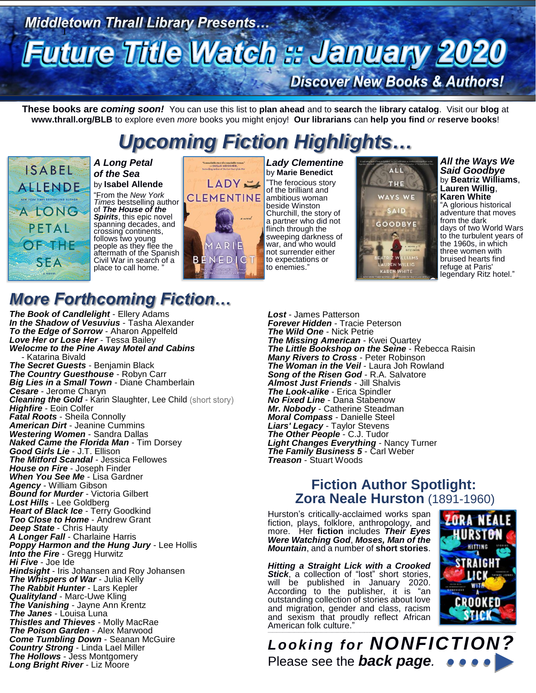# Middletown Thrall Library Presents...<br>Futuire Title Watch :: January 2020 **Discover New Books & Authors!**

**These books are** *coming soon!* You can use this list to **plan ahead** and to **search** the **library catalog**. Visit our **blog** at **www.thrall.org/BLB** to explore even *more* books you might enjoy! **Our librarians** can **help you find** *or* **reserve books**!

# *Upcoming Fiction Highlights…*



*A Long Petal of the Sea* by **Isabel Allende**

"From the *New York Times* bestselling author of *The House of the Spirits*, this epic novel spanning decades, and crossing continents, follows two young people as they flee the aftermath of the Spanish Civil War in search of a place to call home.



*Lady Clementine* by **Marie Benedict** "The ferocious story of the brilliant and ambitious woman beside Winston Churchill, the story of a partner who did not flinch through the sweeping darkness of war, and who would not surrender either to expectations or to enemies."



*All the Ways We Said Goodbye* by **Beatriz Williams**, **Lauren Willig**, **Karen White** "A glorious historical adventure that moves from the dark days of two World Wars to the turbulent years of the 1960s, in which three women with bruised hearts find refuge at Paris' legendary Ritz hotel."

## *More Forthcoming Fiction…*

*The Book of Candlelight* - Ellery Adams *In the Shadow of Vesuvius* - Tasha Alexander *To the Edge of Sorrow* - Aharon Appelfeld *Love Her or Lose Her* - Tessa Bailey *Welocme to the Pine Away Motel and Cabins* - Katarina Bivald *The Secret Guests* - Benjamin Black *The Country Guesthouse* - Robyn Carr *Big Lies in a Small Town* - Diane Chamberlain *Cesare* - Jerome Charyn **Cleaning the Gold - Karin Slaughter, Lee Child (short story)** *Highfire* - Eoin Colfer *Fatal Roots* - Sheila Connolly *American Dirt* - Jeanine Cummins *Westering Women* - Sandra Dallas *Naked Came the Florida Man* - Tim Dorsey *Good Girls Lie* - J.T. Ellison *The Mitford Scandal* - Jessica Fellowes *House on Fire* - Joseph Finder *When You See Me* - Lisa Gardner *Agency* - William Gibson *Bound for Murder* - Victoria Gilbert *Lost Hills* - Lee Goldberg **Heart of Black Ice - Terry Goodkind** *Too Close to Home* - Andrew Grant *Deep State* - Chris Hauty *A Longer Fall* - Charlaine Harris *Poppy Harmon and the Hung Jury* - Lee Hollis *Into the Fire* - Gregg Hurwitz *Hi Five* - Joe Ide *Hindsight* - Iris Johansen and Roy Johansen *The Whispers of War* - Julia Kelly *The Rabbit Hunter* - Lars Kepler *Qualityland* - Marc-Uwe Kling *The Vanishing* - Jayne Ann Krentz *The Janes* - Louisa Luna *Thistles and Thieves* - Molly MacRae *The Poison Garden* - Alex Marwood *Come Tumbling Down - Seanan McGuire Country Strong* - Linda Lael Miller *The Hollows* - Jess Montgomery *Long Bright River* - Liz Moore

*Lost* - James Patterson *Forever Hidden* - Tracie Peterson *The Wild One* - Nick Petrie *The Missing American* - Kwei Quartey *The Little Bookshop on the Seine - Rebecca Raisin Many Rivers to Cross* - Peter Robinson *The Woman in the Veil* - Laura Joh Rowland *Song of the Risen God* - R.A. Salvatore *Almost Just Friends* - Jill Shalvis *The Look-alike* - Erica Spindler *No Fixed Line* - Dana Stabenow *Mr. Nobody* - Catherine Steadman *Moral Compass* - Danielle Steel *Liars' Legacy* - Taylor Stevens *The Other People* - C.J. Tudor *Light Changes Everything* - Nancy Turner *The Family Business 5* - Carl Weber *Treason* - Stuart Woods

### **Fiction Author Spotlight: Zora Neale Hurston** (1891-1960)

Hurston's critically-acclaimed works span fiction, plays, folklore, anthropology, and<br>more. Her f**iction** includes *Their Eyes* more. Her **fiction** includes *Their Eyes Were Watching God*, *Moses, Man of the Mountain*, and a number of **short stories**.

*Hitting a Straight Lick with a Crooked Stick*, a collection of "lost" short stories, will be published in January 2020. According to the publisher, it is "an outstanding collection of stories about love and migration, gender and class, racism and sexism that proudly reflect African American folk culture."  $\_$  ,  $\_$  ,  $\_$  ,  $\_$  ,  $\_$  ,  $\_$  ,  $\_$  ,  $\_$  ,  $\_$  ,  $\_$  ,  $\_$  ,  $\_$  ,  $\_$  ,  $\_$  ,  $\_$  ,  $\_$  ,  $\_$  ,  $\_$  ,  $\_$  ,  $\_$  ,  $\_$  ,  $\_$  ,  $\_$  ,  $\_$  ,  $\_$  ,  $\_$  ,  $\_$  ,  $\_$  ,  $\_$  ,  $\_$  ,  $\_$  ,  $\_$  ,  $\_$  ,  $\_$  ,  $\_$  ,  $\_$  ,  $\_$  ,



*Looking for NONFICTION?* Please see the *back page.*